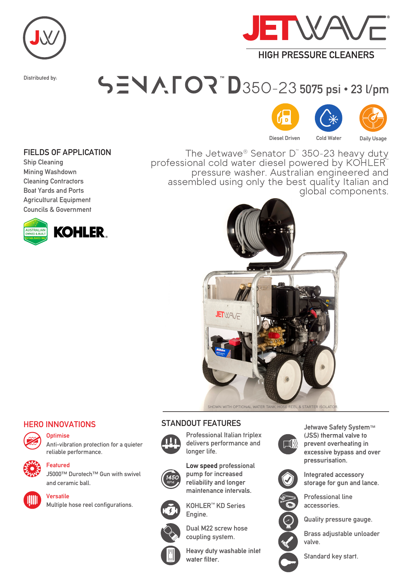



Distributed by:

## 350-23 5075 psi · 23 l/pm



FIELDS OF APPLICATION

Ship Cleaning Mining Washdown Cleaning Contractors Boat Yards and Ports Agricultural Equipment Councils & Government



The Jetwave® Senator D™ 350-23 heavy duty professional cold water diesel powered by KOHLER™<br>pressure washer. Australian engineered and assembled using only the best quality Italian and<br>global components.



SHOWN WITH OPTIONAL WATER TANK, HOSE REEL & STARTER ISOLATO

## HERO INNOVATIONS



**Optimise** 





Featured

J5000™ Durotech™ Gun with swivel and ceramic ball.



Versatile

Multiple hose reel configurations.





Professional Italian triplex delivers performance and longer life.

Low speed professional pump for increased reliability and longer maintenance intervals.



KOHLER™ KD Series Engine.



Dual M22 screw hose coupling system.

water filter.

Heavy duty washable inlet



Jetwave Safety System™ (JSS) thermal valve to prevent overheating in excessive bypass and over pressurisation.



Integrated accessory storage for gun and lance.



Quality pressure gauge.

Professional line accessories.

Brass adjustable unloader valve.





Standard key start.